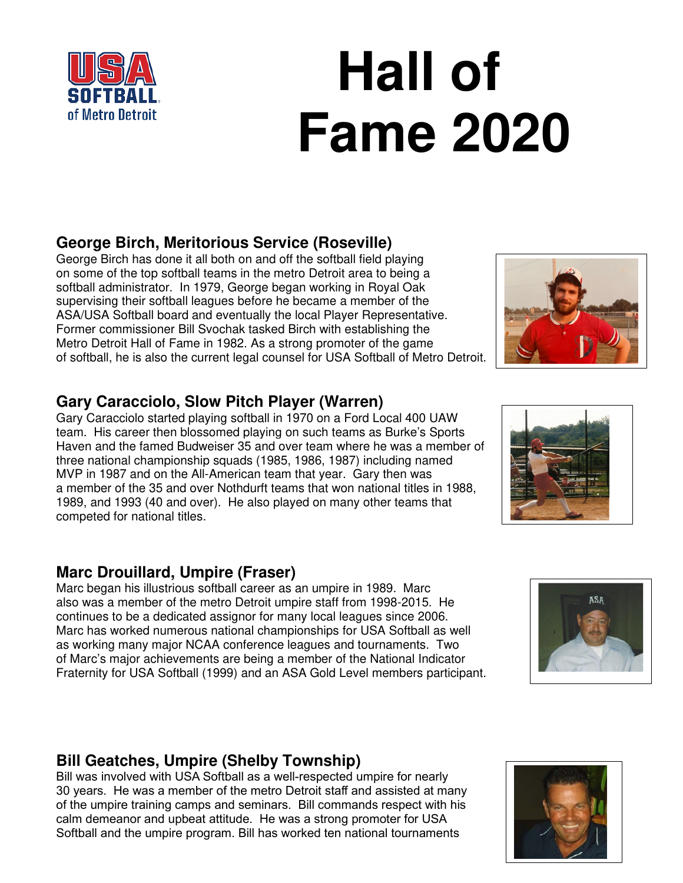# **Hall of Fame 2020**

# **George Birch, Meritorious Service (Roseville)**

George Birch has done it all both on and off the softball field playing on some of the top softball teams in the metro Detroit area to being a softball administrator. In 1979, George began working in Royal Oak supervising their softball leagues before he became a member of the ASA/USA Softball board and eventually the local Player Representative. Former commissioner Bill Svochak tasked Birch with establishing the Metro Detroit Hall of Fame in 1982. As a strong promoter of the game of softball, he is also the current legal counsel for USA Softball of Metro Detroit.

### **Gary Caracciolo, Slow Pitch Player (Warren)**

Gary Caracciolo started playing softball in 1970 on a Ford Local 400 UAW team. His career then blossomed playing on such teams as Burke's Sports Haven and the famed Budweiser 35 and over team where he was a member of three national championship squads (1985, 1986, 1987) including named MVP in 1987 and on the All-American team that year. Gary then was a member of the 35 and over Nothdurft teams that won national titles in 1988, 1989, and 1993 (40 and over). He also played on many other teams that competed for national titles.

## **Marc Drouillard, Umpire (Fraser)**

Marc began his illustrious softball career as an umpire in 1989. Marc also was a member of the metro Detroit umpire staff from 1998-2015. He continues to be a dedicated assignor for many local leagues since 2006. Marc has worked numerous national championships for USA Softball as well as working many major NCAA conference leagues and tournaments. Two of Marc's major achievements are being a member of the National Indicator Fraternity for USA Softball (1999) and an ASA Gold Level members participant.

# **Bill Geatches, Umpire (Shelby Township)**

Bill was involved with USA Softball as a well-respected umpire for nearly 30 years. He was a member of the metro Detroit staff and assisted at many of the umpire training camps and seminars. Bill commands respect with his calm demeanor and upbeat attitude. He was a strong promoter for USA Softball and the umpire program. Bill has worked ten national tournaments